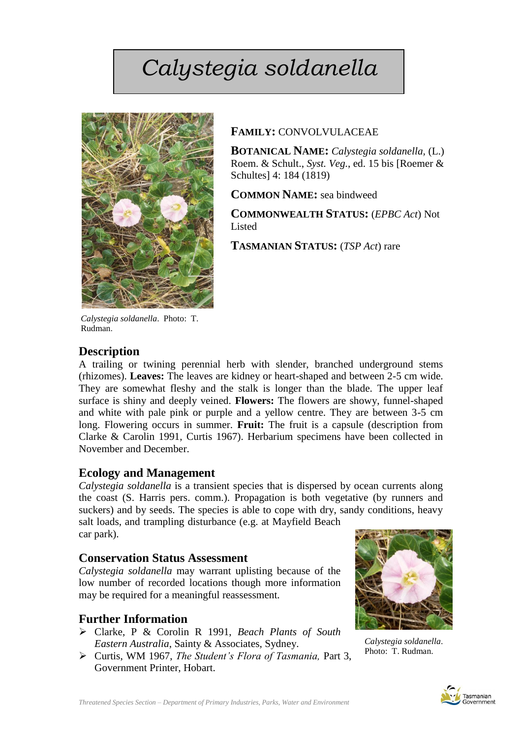# *Calystegia soldanella*



# **FAMILY:** CONVOLVULACEAE

**BOTANICAL NAME:** *Calystegia soldanella,* (L.) Roem. & Schult., *Syst. Veg.*, ed. 15 bis [Roemer & Schultes] 4: 184 (1819)

**COMMON NAME:** sea bindweed

**COMMONWEALTH STATUS:** (*EPBC Act*) Not Listed

**TASMANIAN STATUS:** (*TSP Act*) rare

*Calystegia soldanella*. Photo: T. Rudman.

# **Description**

A trailing or twining perennial herb with slender, branched underground stems (rhizomes). **Leaves:** The leaves are kidney or heart-shaped and between 2-5 cm wide. They are somewhat fleshy and the stalk is longer than the blade. The upper leaf surface is shiny and deeply veined. **Flowers:** The flowers are showy, funnel-shaped and white with pale pink or purple and a yellow centre. They are between 3-5 cm long. Flowering occurs in summer. **Fruit:** The fruit is a capsule (description from Clarke & Carolin 1991, Curtis 1967). Herbarium specimens have been collected in November and December.

# **Ecology and Management**

*Calystegia soldanella* is a transient species that is dispersed by ocean currents along the coast (S. Harris pers. comm.). Propagation is both vegetative (by runners and suckers) and by seeds. The species is able to cope with dry, sandy conditions, heavy salt loads, and trampling disturbance (e.g. at Mayfield Beach

car park).

# **Conservation Status Assessment**

*Calystegia soldanella* may warrant uplisting because of the low number of recorded locations though more information may be required for a meaningful reassessment*.* 

# **Further Information**

- Clarke, P & Corolin R 1991, *Beach Plants of South Eastern Australia*, Sainty & Associates, Sydney.
- Curtis, WM 1967, *The Student's Flora of Tasmania,* Part 3, Government Printer, Hobart.



 *Calystegia soldanella*. Photo: T. Rudman.

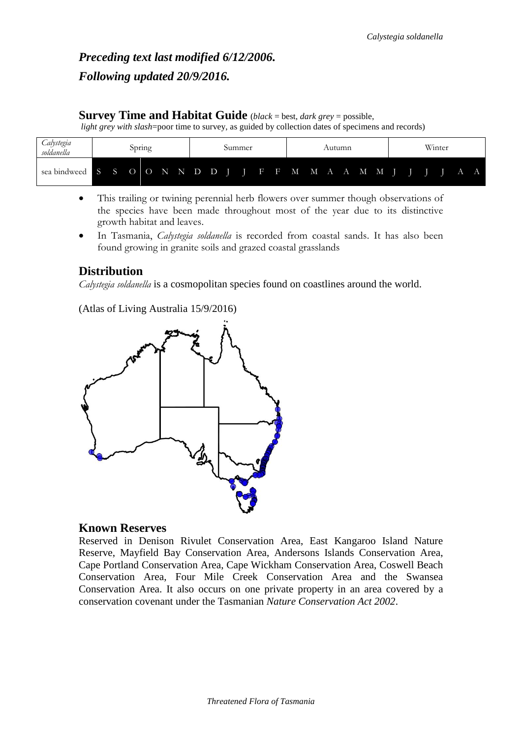# *Preceding text last modified 6/12/2006. Following updated 20/9/2016.*

# **Survey Time and Habitat Guide** (*black* = best, *dark grey* = possible,

*light grey with slash*=poor time to survey, as guided by collection dates of specimens and records)

| alystegia<br>soldanella | opring |       |  |  |  |  | Summer |  |  |                                        |  |  | Autumn      |              |  |  |       |   | Winter |  |  |  |  |  |
|-------------------------|--------|-------|--|--|--|--|--------|--|--|----------------------------------------|--|--|-------------|--------------|--|--|-------|---|--------|--|--|--|--|--|
| sea bindweed            |        | S S O |  |  |  |  |        |  |  | $O \t N \t N \t D \t D \t T \t F \t F$ |  |  | $\mathbf M$ | $\mathbf{M}$ |  |  | A A M | M |        |  |  |  |  |  |

- This trailing or twining perennial herb flowers over summer though observations of the species have been made throughout most of the year due to its distinctive growth habitat and leaves.
- In Tasmania, *Calystegia soldanella* is recorded from coastal sands. It has also been found growing in granite soils and grazed coastal grasslands

# **Distribution**

*Calystegia soldanella* is a cosmopolitan species found on coastlines around the world.

(Atlas of Living Australia 15/9/2016)



# **Known Reserves**

Reserved in Denison Rivulet Conservation Area, East Kangaroo Island Nature Reserve, Mayfield Bay Conservation Area, Andersons Islands Conservation Area, Cape Portland Conservation Area, Cape Wickham Conservation Area, Coswell Beach Conservation Area, Four Mile Creek Conservation Area and the Swansea Conservation Area. It also occurs on one private property in an area covered by a conservation covenant under the Tasmanian *Nature Conservation Act 2002*.